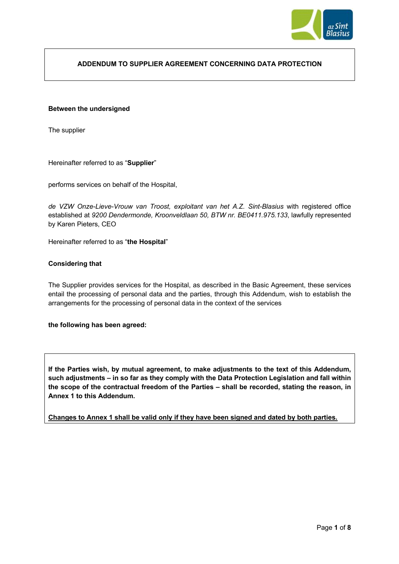

# **ADDENDUM TO SUPPLIER AGREEMENT CONCERNING DATA PROTECTION**

### **Between the undersigned**

The supplier

Hereinafter referred to as "**Supplier**"

performs services on behalf of the Hospital,

*de VZW Onze-Lieve-Vrouw van Troost, exploitant van het A.Z. Sint-Blasius* with registered office established at *9200 Dendermonde, Kroonveldlaan 50, BTW nr. BE0411.975.133*, lawfully represented by Karen Pieters, CEO

Hereinafter referred to as "**the Hospital**"

### **Considering that**

The Supplier provides services for the Hospital, as described in the Basic Agreement, these services entail the processing of personal data and the parties, through this Addendum, wish to establish the arrangements for the processing of personal data in the context of the services

#### **the following has been agreed:**

**If the Parties wish, by mutual agreement, to make adjustments to the text of this Addendum, such adjustments – in so far as they comply with the Data Protection Legislation and fall within the scope of the contractual freedom of the Parties – shall be recorded, stating the reason, in Annex 1 to this Addendum.** 

**Changes to Annex 1 shall be valid only if they have been signed and dated by both parties.**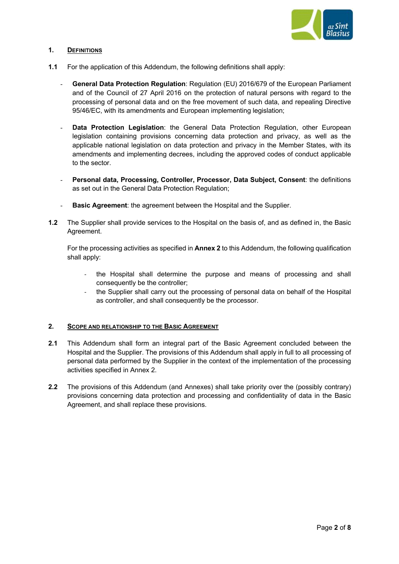

# **1. DEFINITIONS**

- **1.1** For the application of this Addendum, the following definitions shall apply:
	- **General Data Protection Regulation**: Regulation (EU) 2016/679 of the European Parliament and of the Council of 27 April 2016 on the protection of natural persons with regard to the processing of personal data and on the free movement of such data, and repealing Directive 95/46/EC, with its amendments and European implementing legislation;
	- Data Protection Legislation: the General Data Protection Regulation, other European legislation containing provisions concerning data protection and privacy, as well as the applicable national legislation on data protection and privacy in the Member States, with its amendments and implementing decrees, including the approved codes of conduct applicable to the sector.
	- **Personal data, Processing, Controller, Processor, Data Subject, Consent**: the definitions as set out in the General Data Protection Regulation;
	- **Basic Agreement:** the agreement between the Hospital and the Supplier.
- **1.2** The Supplier shall provide services to the Hospital on the basis of, and as defined in, the Basic Agreement.

For the processing activities as specified in **Annex 2** to this Addendum, the following qualification shall apply:

- the Hospital shall determine the purpose and means of processing and shall consequently be the controller;
- the Supplier shall carry out the processing of personal data on behalf of the Hospital as controller, and shall consequently be the processor.

# **2. SCOPE AND RELATIONSHIP TO THE BASIC AGREEMENT**

- **2.1** This Addendum shall form an integral part of the Basic Agreement concluded between the Hospital and the Supplier. The provisions of this Addendum shall apply in full to all processing of personal data performed by the Supplier in the context of the implementation of the processing activities specified in Annex 2.
- **2.2** The provisions of this Addendum (and Annexes) shall take priority over the (possibly contrary) provisions concerning data protection and processing and confidentiality of data in the Basic Agreement, and shall replace these provisions.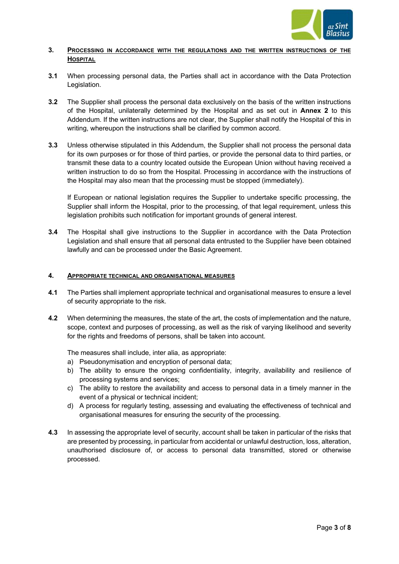

# **3. PROCESSING IN ACCORDANCE WITH THE REGULATIONS AND THE WRITTEN INSTRUCTIONS OF THE HOSPITAL**

- **3.1** When processing personal data, the Parties shall act in accordance with the Data Protection Legislation.
- **3.2** The Supplier shall process the personal data exclusively on the basis of the written instructions of the Hospital, unilaterally determined by the Hospital and as set out in **Annex 2** to this Addendum. If the written instructions are not clear, the Supplier shall notify the Hospital of this in writing, whereupon the instructions shall be clarified by common accord.
- **3.3** Unless otherwise stipulated in this Addendum, the Supplier shall not process the personal data for its own purposes or for those of third parties, or provide the personal data to third parties, or transmit these data to a country located outside the European Union without having received a written instruction to do so from the Hospital. Processing in accordance with the instructions of the Hospital may also mean that the processing must be stopped (immediately).

If European or national legislation requires the Supplier to undertake specific processing, the Supplier shall inform the Hospital, prior to the processing, of that legal requirement, unless this legislation prohibits such notification for important grounds of general interest.

**3.4** The Hospital shall give instructions to the Supplier in accordance with the Data Protection Legislation and shall ensure that all personal data entrusted to the Supplier have been obtained lawfully and can be processed under the Basic Agreement.

# **4. APPROPRIATE TECHNICAL AND ORGANISATIONAL MEASURES**

- **4.1** The Parties shall implement appropriate technical and organisational measures to ensure a level of security appropriate to the risk.
- **4.2** When determining the measures, the state of the art, the costs of implementation and the nature, scope, context and purposes of processing, as well as the risk of varying likelihood and severity for the rights and freedoms of persons, shall be taken into account.

The measures shall include, inter alia, as appropriate:

- a) Pseudonymisation and encryption of personal data;
- b) The ability to ensure the ongoing confidentiality, integrity, availability and resilience of processing systems and services;
- c) The ability to restore the availability and access to personal data in a timely manner in the event of a physical or technical incident;
- d) A process for regularly testing, assessing and evaluating the effectiveness of technical and organisational measures for ensuring the security of the processing.
- **4.3** In assessing the appropriate level of security, account shall be taken in particular of the risks that are presented by processing, in particular from accidental or unlawful destruction, loss, alteration, unauthorised disclosure of, or access to personal data transmitted, stored or otherwise processed.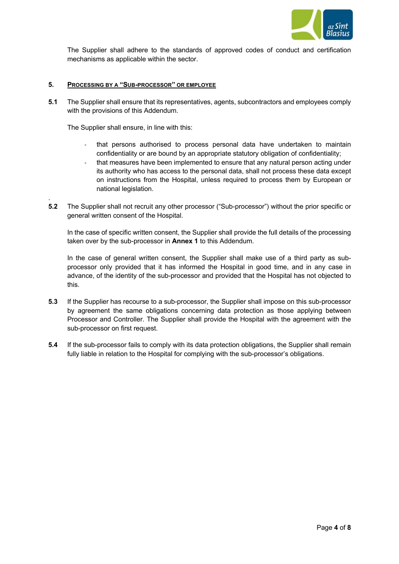

The Supplier shall adhere to the standards of approved codes of conduct and certification mechanisms as applicable within the sector.

### **5. PROCESSING BY A "SUB-PROCESSOR" OR EMPLOYEE**

**5.1** The Supplier shall ensure that its representatives, agents, subcontractors and employees comply with the provisions of this Addendum.

The Supplier shall ensure, in line with this:

.

- that persons authorised to process personal data have undertaken to maintain confidentiality or are bound by an appropriate statutory obligation of confidentiality;
- that measures have been implemented to ensure that any natural person acting under its authority who has access to the personal data, shall not process these data except on instructions from the Hospital, unless required to process them by European or national legislation.
- **5.2** The Supplier shall not recruit any other processor ("Sub-processor") without the prior specific or general written consent of the Hospital.

In the case of specific written consent, the Supplier shall provide the full details of the processing taken over by the sub-processor in **Annex 1** to this Addendum.

In the case of general written consent, the Supplier shall make use of a third party as subprocessor only provided that it has informed the Hospital in good time, and in any case in advance, of the identity of the sub-processor and provided that the Hospital has not objected to this.

- **5.3** If the Supplier has recourse to a sub-processor, the Supplier shall impose on this sub-processor by agreement the same obligations concerning data protection as those applying between Processor and Controller. The Supplier shall provide the Hospital with the agreement with the sub-processor on first request.
- **5.4** If the sub-processor fails to comply with its data protection obligations, the Supplier shall remain fully liable in relation to the Hospital for complying with the sub-processor's obligations.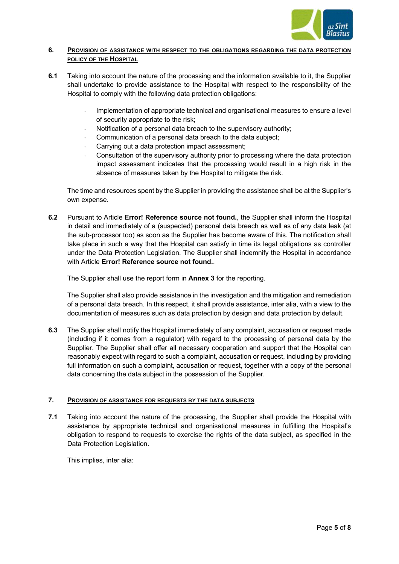

# **6. PROVISION OF ASSISTANCE WITH RESPECT TO THE OBLIGATIONS REGARDING THE DATA PROTECTION POLICY OF THE HOSPITAL**

- **6.1** Taking into account the nature of the processing and the information available to it, the Supplier shall undertake to provide assistance to the Hospital with respect to the responsibility of the Hospital to comply with the following data protection obligations:
	- Implementation of appropriate technical and organisational measures to ensure a level of security appropriate to the risk;
	- Notification of a personal data breach to the supervisory authority;
	- Communication of a personal data breach to the data subject:
	- Carrying out a data protection impact assessment:
	- Consultation of the supervisory authority prior to processing where the data protection impact assessment indicates that the processing would result in a high risk in the absence of measures taken by the Hospital to mitigate the risk.

The time and resources spent by the Supplier in providing the assistance shall be at the Supplier's own expense.

**6.2** Pursuant to Article **Error! Reference source not found.**, the Supplier shall inform the Hospital in detail and immediately of a (suspected) personal data breach as well as of any data leak (at the sub-processor too) as soon as the Supplier has become aware of this. The notification shall take place in such a way that the Hospital can satisfy in time its legal obligations as controller under the Data Protection Legislation. The Supplier shall indemnify the Hospital in accordance with Article **Error! Reference source not found.**.

The Supplier shall use the report form in **Annex 3** for the reporting.

The Supplier shall also provide assistance in the investigation and the mitigation and remediation of a personal data breach. In this respect, it shall provide assistance, inter alia, with a view to the documentation of measures such as data protection by design and data protection by default.

**6.3** The Supplier shall notify the Hospital immediately of any complaint, accusation or request made (including if it comes from a regulator) with regard to the processing of personal data by the Supplier. The Supplier shall offer all necessary cooperation and support that the Hospital can reasonably expect with regard to such a complaint, accusation or request, including by providing full information on such a complaint, accusation or request, together with a copy of the personal data concerning the data subject in the possession of the Supplier.

# **7. PROVISION OF ASSISTANCE FOR REQUESTS BY THE DATA SUBJECTS**

**7.1** Taking into account the nature of the processing, the Supplier shall provide the Hospital with assistance by appropriate technical and organisational measures in fulfilling the Hospital's obligation to respond to requests to exercise the rights of the data subject, as specified in the Data Protection Legislation.

This implies, inter alia: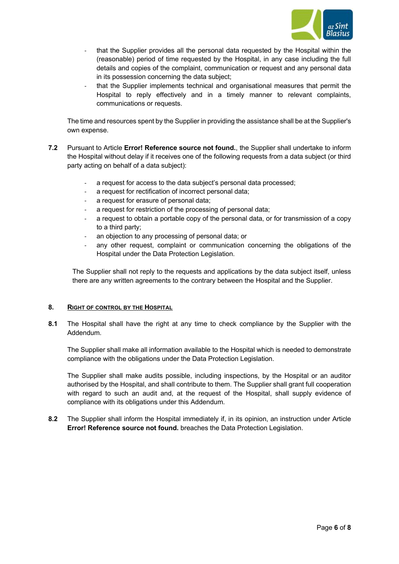

- that the Supplier provides all the personal data requested by the Hospital within the (reasonable) period of time requested by the Hospital, in any case including the full details and copies of the complaint, communication or request and any personal data in its possession concerning the data subject;
- that the Supplier implements technical and organisational measures that permit the Hospital to reply effectively and in a timely manner to relevant complaints, communications or requests.

The time and resources spent by the Supplier in providing the assistance shall be at the Supplier's own expense.

- **7.2** Pursuant to Article **Error! Reference source not found.**, the Supplier shall undertake to inform the Hospital without delay if it receives one of the following requests from a data subject (or third party acting on behalf of a data subject):
	- a request for access to the data subject's personal data processed;
	- a request for rectification of incorrect personal data;
	- a request for erasure of personal data;
	- a request for restriction of the processing of personal data;
	- a request to obtain a portable copy of the personal data, or for transmission of a copy to a third party;
	- an objection to any processing of personal data; or
	- any other request, complaint or communication concerning the obligations of the Hospital under the Data Protection Legislation.

The Supplier shall not reply to the requests and applications by the data subject itself, unless there are any written agreements to the contrary between the Hospital and the Supplier.

#### **8. RIGHT OF CONTROL BY THE HOSPITAL**

**8.1** The Hospital shall have the right at any time to check compliance by the Supplier with the Addendum.

The Supplier shall make all information available to the Hospital which is needed to demonstrate compliance with the obligations under the Data Protection Legislation.

The Supplier shall make audits possible, including inspections, by the Hospital or an auditor authorised by the Hospital, and shall contribute to them. The Supplier shall grant full cooperation with regard to such an audit and, at the request of the Hospital, shall supply evidence of compliance with its obligations under this Addendum.

**8.2** The Supplier shall inform the Hospital immediately if, in its opinion, an instruction under Article **Error! Reference source not found.** breaches the Data Protection Legislation.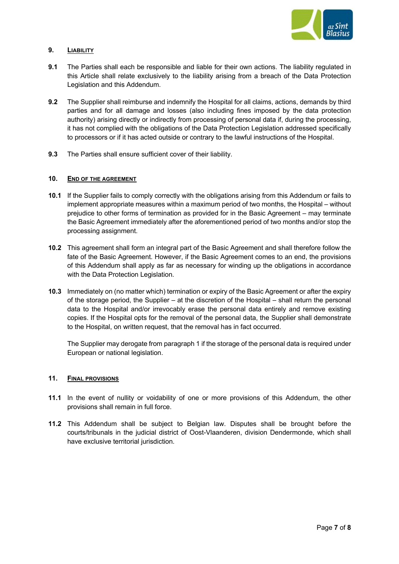

# **9. LIABILITY**

- **9.1** The Parties shall each be responsible and liable for their own actions. The liability regulated in this Article shall relate exclusively to the liability arising from a breach of the Data Protection Legislation and this Addendum.
- **9.2** The Supplier shall reimburse and indemnify the Hospital for all claims, actions, demands by third parties and for all damage and losses (also including fines imposed by the data protection authority) arising directly or indirectly from processing of personal data if, during the processing, it has not complied with the obligations of the Data Protection Legislation addressed specifically to processors or if it has acted outside or contrary to the lawful instructions of the Hospital.
- **9.3** The Parties shall ensure sufficient cover of their liability.

### **10. END OF THE AGREEMENT**

- **10.1** If the Supplier fails to comply correctly with the obligations arising from this Addendum or fails to implement appropriate measures within a maximum period of two months, the Hospital – without prejudice to other forms of termination as provided for in the Basic Agreement – may terminate the Basic Agreement immediately after the aforementioned period of two months and/or stop the processing assignment.
- **10.2** This agreement shall form an integral part of the Basic Agreement and shall therefore follow the fate of the Basic Agreement. However, if the Basic Agreement comes to an end, the provisions of this Addendum shall apply as far as necessary for winding up the obligations in accordance with the Data Protection Legislation.
- **10.3** Immediately on (no matter which) termination or expiry of the Basic Agreement or after the expiry of the storage period, the Supplier – at the discretion of the Hospital – shall return the personal data to the Hospital and/or irrevocably erase the personal data entirely and remove existing copies. If the Hospital opts for the removal of the personal data, the Supplier shall demonstrate to the Hospital, on written request, that the removal has in fact occurred.

The Supplier may derogate from paragraph 1 if the storage of the personal data is required under European or national legislation.

#### **11. FINAL PROVISIONS**

- **11.1** In the event of nullity or voidability of one or more provisions of this Addendum, the other provisions shall remain in full force.
- **11.2** This Addendum shall be subject to Belgian law. Disputes shall be brought before the courts/tribunals in the judicial district of Oost-Vlaanderen, division Dendermonde, which shall have exclusive territorial jurisdiction.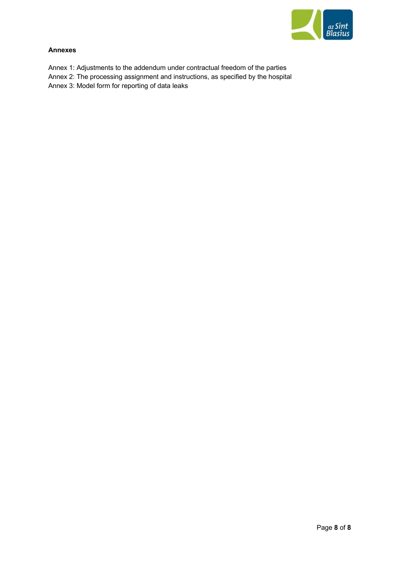

# **Annexes**

- Annex 1: Adjustments to the addendum under contractual freedom of the parties
- Annex 2: The processing assignment and instructions, as specified by the hospital
- Annex 3: Model form for reporting of data leaks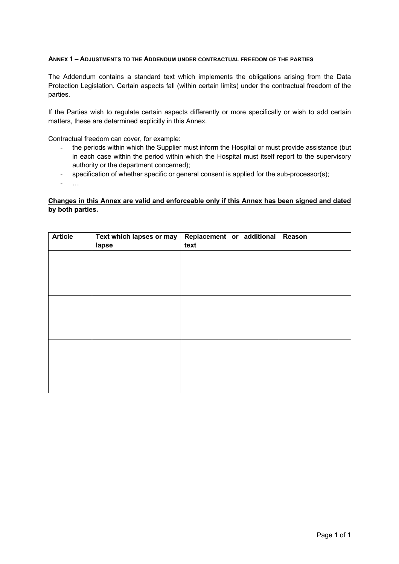### **ANNEX 1 – ADJUSTMENTS TO THE ADDENDUM UNDER CONTRACTUAL FREEDOM OF THE PARTIES**

The Addendum contains a standard text which implements the obligations arising from the Data Protection Legislation. Certain aspects fall (within certain limits) under the contractual freedom of the parties.

If the Parties wish to regulate certain aspects differently or more specifically or wish to add certain matters, these are determined explicitly in this Annex.

Contractual freedom can cover, for example:

- the periods within which the Supplier must inform the Hospital or must provide assistance (but in each case within the period within which the Hospital must itself report to the supervisory authority or the department concerned);
- specification of whether specific or general consent is applied for the sub-processor(s);
- …

# **Changes in this Annex are valid and enforceable only if this Annex has been signed and dated by both parties.**

| <b>Article</b> | Text which lapses or may | Replacement or additional | Reason |
|----------------|--------------------------|---------------------------|--------|
|                | lapse                    | text                      |        |
|                |                          |                           |        |
|                |                          |                           |        |
|                |                          |                           |        |
|                |                          |                           |        |
|                |                          |                           |        |
|                |                          |                           |        |
|                |                          |                           |        |
|                |                          |                           |        |
|                |                          |                           |        |
|                |                          |                           |        |
|                |                          |                           |        |
|                |                          |                           |        |
|                |                          |                           |        |
|                |                          |                           |        |
|                |                          |                           |        |
|                |                          |                           |        |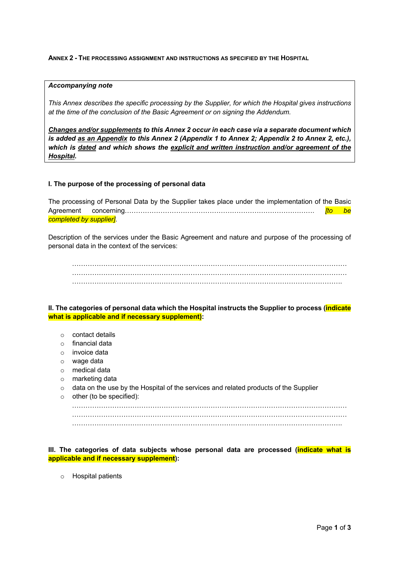### **ANNEX 2 - THE PROCESSING ASSIGNMENT AND INSTRUCTIONS AS SPECIFIED BY THE HOSPITAL**

#### *Accompanying note*

*This Annex describes the specific processing by the Supplier, for which the Hospital gives instructions at the time of the conclusion of the Basic Agreement or on signing the Addendum.* 

*Changes and/or supplements to this Annex 2 occur in each case via a separate document which is added as an Appendix to this Annex 2 (Appendix 1 to Annex 2; Appendix 2 to Annex 2, etc.), which is dated and which shows the explicit and written instruction and/or agreement of the Hospital.*

### **I. The purpose of the processing of personal data**

The processing of Personal Data by the Supplier takes place under the implementation of the Basic Agreement concerning…………………………………………………………………………. *[to be completed by supplier]*.

Description of the services under the Basic Agreement and nature and purpose of the processing of personal data in the context of the services:

…………………………………………………………………………………………………………… …………………………………………………………………………………………………………… ………………………………………………………………………………………………………….

**II. The categories of personal data which the Hospital instructs the Supplier to process (indicate what is applicable and if necessary supplement):** 

- o contact details
- o financial data
- o invoice data
- o wage data
- o medical data
- o marketing data
- $\circ$  data on the use by the Hospital of the services and related products of the Supplier

 $\circ$  other (to be specified): …………………………………………………………………………………………………………… ……………………………………………………………………………………………………………

**III. The categories of data subjects whose personal data are processed (indicate what is applicable and if necessary supplement):**

o Hospital patients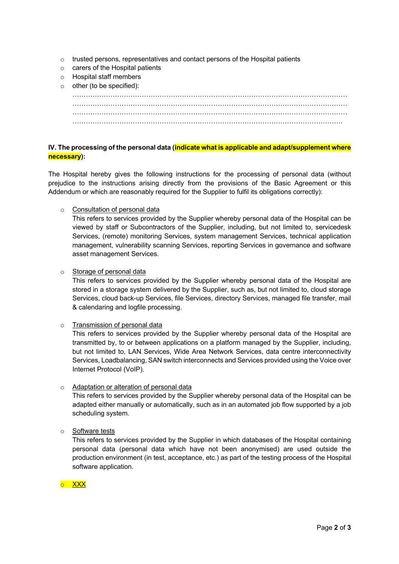- o trusted persons, representatives and contact persons of the Hospital patients
- o carers of the Hospital patients
- o Hospital staff members
- o other (to be specified):

# **IV. The processing of the personal data (indicate what is applicable and adapt/supplement where necessary):**

The Hospital hereby gives the following instructions for the processing of personal data (without prejudice to the instructions arising directly from the provisions of the Basic Agreement or this Addendum or which are reasonably required for the Supplier to fulfil its obligations correctly):

# o Consultation of personal data

This refers to services provided by the Supplier whereby personal data of the Hospital can be viewed by staff or Subcontractors of the Supplier, including, but not limited to, servicedesk Services, (remote) monitoring Services, system management Services, technical application management, vulnerability scanning Services, reporting Services in governance and software asset management Services.

### o Storage of personal data

This refers to services provided by the Supplier whereby personal data of the Hospital are stored in a storage system delivered by the Supplier, such as, but not limited to, cloud storage Services, cloud back-up Services, file Services, directory Services, managed file transfer, mail & calendaring and logfile processing.

# o Transmission of personal data

This refers to services provided by the Supplier whereby personal data of the Hospital are transmitted by, to or between applications on a platform managed by the Supplier, including, but not limited to, LAN Services, Wide Area Network Services, data centre interconnectivity Services, Loadbalancing, SAN switch interconnects and Services provided using the Voice over Internet Protocol (VoIP).

# o Adaptation or alteration of personal data

This refers to services provided by the Supplier whereby personal data of the Hospital can be adapted either manually or automatically, such as in an automated job flow supported by a job scheduling system.

# o Software tests

This refers to services provided by the Supplier in which databases of the Hospital containing personal data (personal data which have not been anonymised) are used outside the production environment (in test, acceptance, etc.) as part of the testing process of the Hospital software application.

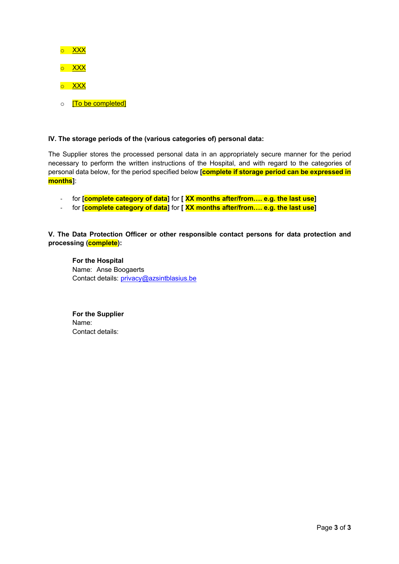

# **IV. The storage periods of the (various categories of) personal data:**

The Supplier stores the processed personal data in an appropriately secure manner for the period necessary to perform the written instructions of the Hospital, and with regard to the categories of personal data below, for the period specified below **[complete if storage period can be expressed in months]**:

- for **[complete category of data]** for **[ XX months after/from…. e.g. the last use]**
- for **[complete category of data]** for **[ XX months after/from…. e.g. the last use]**

**V. The Data Protection Officer or other responsible contact persons for data protection and processing (complete):**

**For the Hospital** Name: Anse Boogaerts Contact details: privacy@azsintblasius.be

**For the Supplier** Name: Contact details: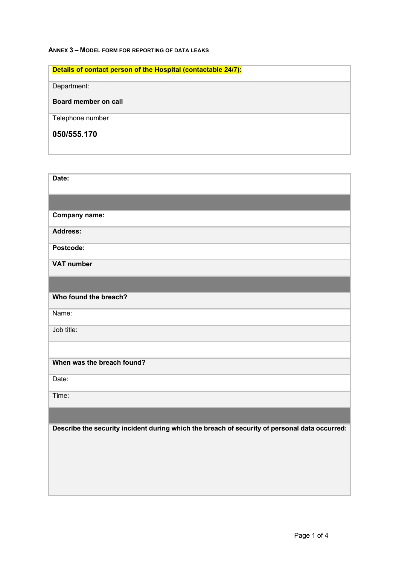# **ANNEX 3 – MODEL FORM FOR REPORTING OF DATA LEAKS**

| Details of contact person of the Hospital (contactable 24/7): |
|---------------------------------------------------------------|
| Department:                                                   |
| Board member on call                                          |
| Telephone number                                              |
| 050/555.170                                                   |

| Date:                                                                                         |
|-----------------------------------------------------------------------------------------------|
|                                                                                               |
| Company name:                                                                                 |
| <b>Address:</b>                                                                               |
| Postcode:                                                                                     |
| <b>VAT number</b>                                                                             |
|                                                                                               |
| Who found the breach?                                                                         |
| Name:                                                                                         |
| Job title:                                                                                    |
|                                                                                               |
| When was the breach found?                                                                    |
| Date:                                                                                         |
| Time:                                                                                         |
|                                                                                               |
| Describe the security incident during which the breach of security of personal data occurred: |
|                                                                                               |
|                                                                                               |
|                                                                                               |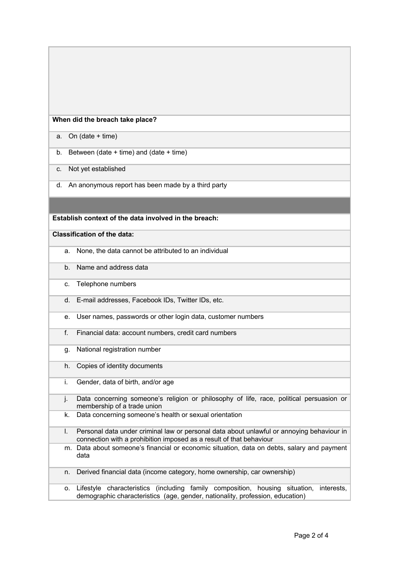### **When did the breach take place?**

a. On (date + time)

- b. Between (date + time) and (date + time)
- c. Not yet established
- d. An anonymous report has been made by a third party

### **Establish context of the data involved in the breach:**

**Classification of the data:**

- a. None, the data cannot be attributed to an individual
- b. Name and address data
- c. Telephone numbers
- d. E-mail addresses, Facebook IDs, Twitter IDs, etc.
- e. User names, passwords or other login data, customer numbers
- f. Financial data: account numbers, credit card numbers
- g. National registration number
- h. Copies of identity documents
- i. Gender, data of birth, and/or age
- j. Data concerning someone's religion or philosophy of life, race, political persuasion or membership of a trade union
- k. Data concerning someone's health or sexual orientation
- l. Personal data under criminal law or personal data about unlawful or annoying behaviour in connection with a prohibition imposed as a result of that behaviour
- m. Data about someone's financial or economic situation, data on debts, salary and payment data
- n. Derived financial data (income category, home ownership, car ownership)
- o. Lifestyle characteristics (including family composition, housing situation, interests, demographic characteristics (age, gender, nationality, profession, education)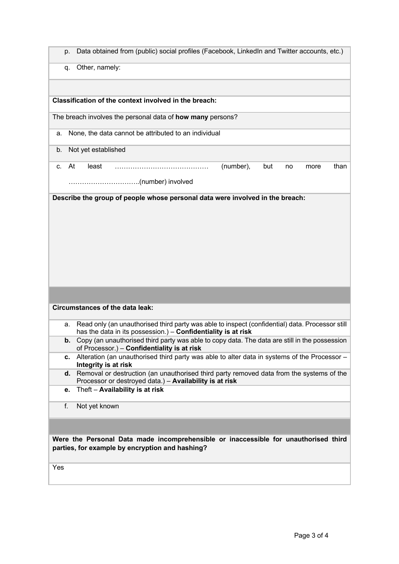| Data obtained from (public) social profiles (Facebook, LinkedIn and Twitter accounts, etc.)<br>p.                                                                      |
|------------------------------------------------------------------------------------------------------------------------------------------------------------------------|
| Other, namely:<br>q.                                                                                                                                                   |
|                                                                                                                                                                        |
| Classification of the context involved in the breach:                                                                                                                  |
| The breach involves the personal data of how many persons?                                                                                                             |
| None, the data cannot be attributed to an individual<br>a.                                                                                                             |
| Not yet established<br>b.                                                                                                                                              |
| At<br>(number),<br>than<br>least<br>but<br>C.<br>more<br>no                                                                                                            |
|                                                                                                                                                                        |
|                                                                                                                                                                        |
| Describe the group of people whose personal data were involved in the breach:                                                                                          |
|                                                                                                                                                                        |
|                                                                                                                                                                        |
|                                                                                                                                                                        |
|                                                                                                                                                                        |
|                                                                                                                                                                        |
|                                                                                                                                                                        |
| <b>Circumstances of the data leak:</b>                                                                                                                                 |
| Read only (an unauthorised third party was able to inspect (confidential) data. Processor still<br>a.<br>has the data in its possession.) - Confidentiality is at risk |
| Copy (an unauthorised third party was able to copy data. The data are still in the possession<br>b.<br>of Processor.) - Confidentiality is at risk                     |
| Alteration (an unauthorised third party was able to alter data in systems of the Processor -<br>с.<br>Integrity is at risk                                             |
| d. Removal or destruction (an unauthorised third party removed data from the systems of the                                                                            |
| Processor or destroyed data.) - Availability is at risk<br>Theft - Availability is at risk<br>е.                                                                       |
| f.<br>Not yet known                                                                                                                                                    |
|                                                                                                                                                                        |
| Were the Personal Data made incomprehensible or inaccessible for unauthorised third                                                                                    |
| parties, for example by encryption and hashing?                                                                                                                        |
| Yes                                                                                                                                                                    |
|                                                                                                                                                                        |